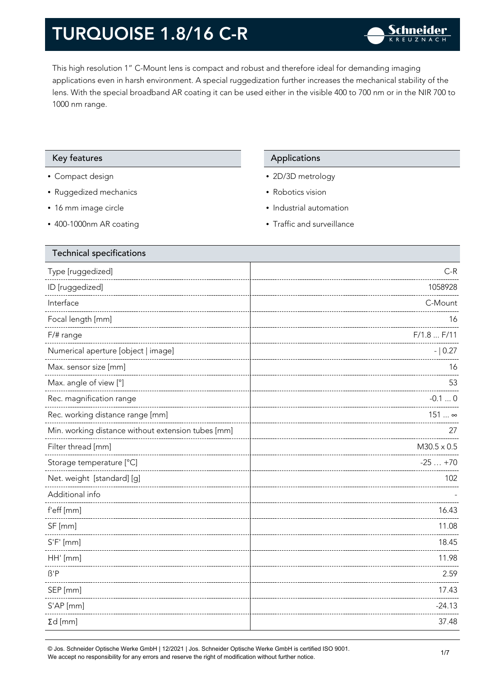This high resolution 1" C-Mount lens is compact and robust and therefore ideal for demanding imaging applications even in harsh environment. A special ruggedization further increases the mechanical stability of the lens. With the special broadband AR coating it can be used either in the visible 400 to 700 nm or in the NIR 700 to 1000 nm range.

#### Key features **Applications** Applications

- Compact design
- Ruggedized mechanics
- 16 mm image circle
- 400-1000nm AR coating

- 2D/3D metrology
- Robotics vision
- Industrial automation
- Traffic and surveillance

| <b>Technical specifications</b>                    |                    |
|----------------------------------------------------|--------------------|
| Type [ruggedized]                                  | $C-R$              |
| ID [ruggedized]                                    | 1058928            |
| Interface                                          | C-Mount            |
| Focal length [mm]                                  | 16                 |
| F/# range                                          | F/1.8 F/11         |
| Numerical aperture [object   image]                | $- 0.27$           |
| Max. sensor size [mm]                              | 16                 |
| Max. angle of view [°]                             | 53                 |
| Rec. magnification range                           | $-0.10$            |
| Rec. working distance range [mm]                   | 151  ∞             |
| Min. working distance without extension tubes [mm] | 27                 |
| Filter thread [mm]                                 | $M30.5 \times 0.5$ |
| Storage temperature [°C]                           | $-25+70$           |
| Net. weight [standard] [g]                         | 102                |
| Additional info                                    |                    |
| f'eff [mm]                                         | 16.43              |
| SF [mm]                                            | 11.08              |
| $S'F'$ [mm]                                        | 18.45              |
| HH' [mm]                                           | 11.98              |
| $\beta'$ P                                         | 2.59               |
| SEP [mm]                                           | 17.43              |
| S'AP [mm]                                          | $-24.13$           |
| $\Sigma d$ [mm]                                    | 37.48              |
|                                                    |                    |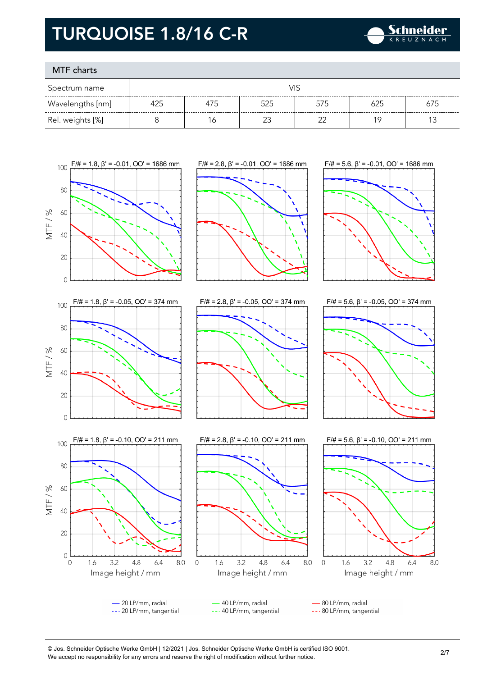

### MTF charts

20

 $\overline{O}$ 

 $\overline{0}$ 

1.6

 $3.2$ 

 $4.8$ 

Image height / mm

 $6.4$ 

8.0  $\circ$ 

| Spectrum name    | VIS |     |     |     |     |     |
|------------------|-----|-----|-----|-----|-----|-----|
| Wavelengths [nm] | 425 | 4/5 | 525 | 575 |     | 675 |
| Rel. weights [%] |     | Ó   |     |     | 1 C |     |









- 20 LP/mm, radial 40 LP/mm, radial 80 LP/mm, radial --- 20 LP/mm, tangential --- 40 LP/mm, tangential --- 80 LP/mm, tangential

1.6

 $3.2$ 

 $4.8$ 

Image height / mm

 $6.4$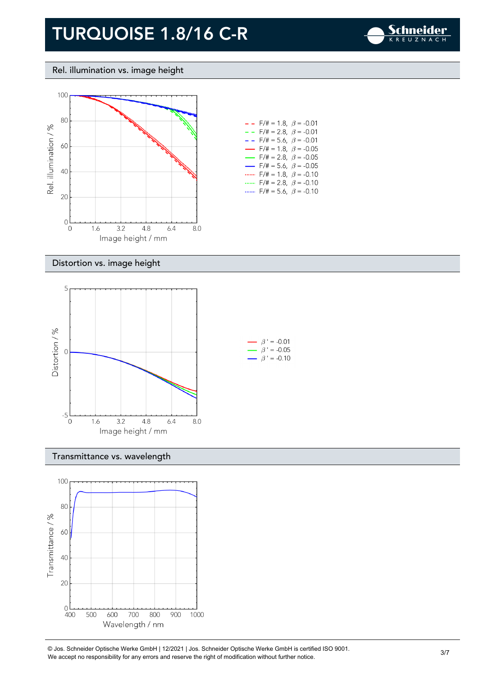

Rel. illumination vs. image height



| $- -$ F/# = 1.8, $\beta$ = -0.01         |
|------------------------------------------|
| $- -$ F/# = 2.8, $\beta$ = -0.01         |
| $- -$ F/# = 5.6, $\beta$ = -0.01         |
| $\rightarrow$ F/# = 1.8, $\beta$ = -0.05 |
| $\rightarrow$ F/# = 2.8, $\beta$ = -0.05 |
| $\rightarrow$ F/# = 5.6, $\beta$ = -0.05 |
| $F/\ddot{=} = 1.8, \ \beta = -0.10$      |
| F/# = 2.8, $\beta$ = -0.10               |
| $F/\ddot{=} = 5.6$ , $\beta = -0.10$     |

#### Distortion vs. image height



#### Transmittance vs. wavelength

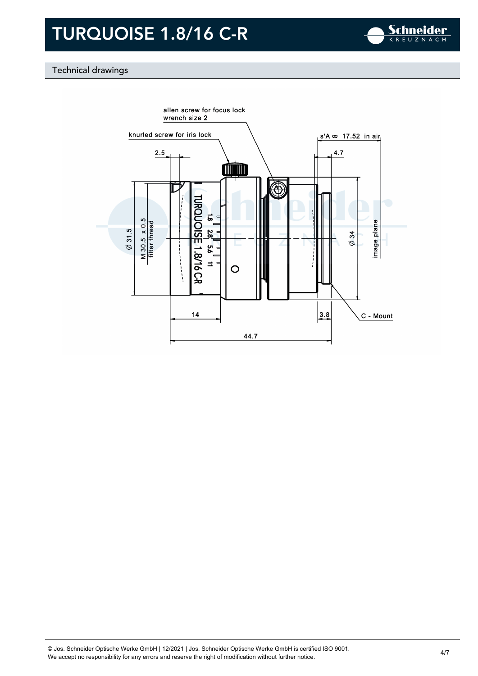

### Technical drawings

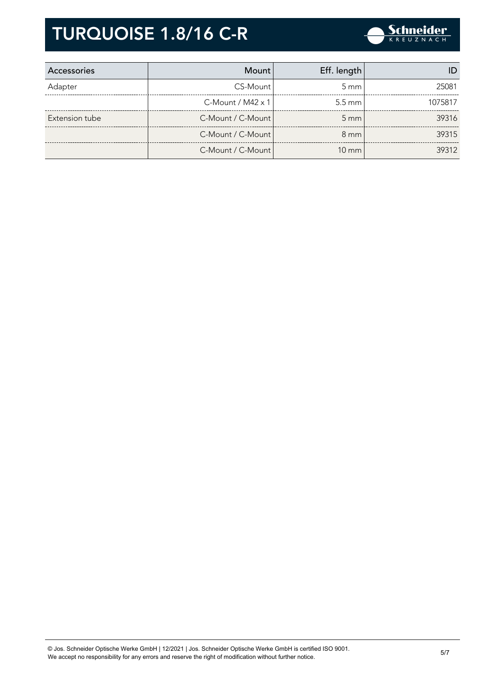

| Accessories    | Mount                       | Eff. length        |         |
|----------------|-----------------------------|--------------------|---------|
| Adapter        | CS-Mount                    | $5 \text{ mm}$     | 25081   |
|                | $C$ -Mount / M42 $\times$ 1 | $5.5 \text{ mm}$   | 1075817 |
| Extension tube | C-Mount / C-Mount           | $5 \, \mathrm{mm}$ | 39316   |
|                | C-Mount / C-Mount           | $8 \text{ mm}$     | 39315   |
|                | C-Mount / C-Mount           | $10 \text{ mm}$    | 39312   |